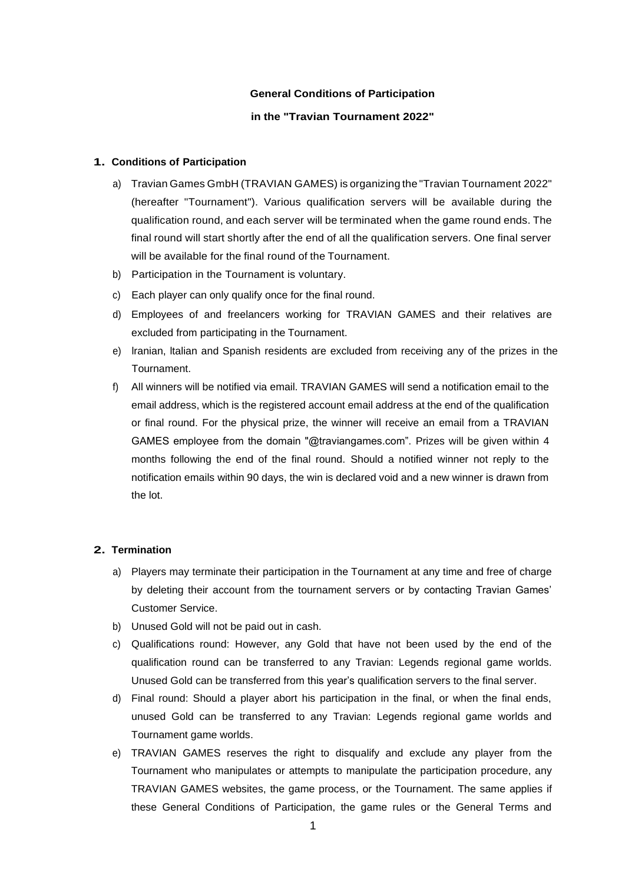### **General Conditions of Participation**

## **in the "Travian Tournament 2022"**

### **1. Conditions of Participation**

- a) Travian Games GmbH (TRAVIAN GAMES) is organizing the "Travian Tournament 2022" (hereafter "Tournament"). Various qualification servers will be available during the qualification round, and each server will be terminated when the game round ends. The final round will start shortly after the end of all the qualification servers. One final server will be available for the final round of the Tournament.
- b) Participation in the Tournament is voluntary.
- c) Each player can only qualify once for the final round.
- d) Employees of and freelancers working for TRAVIAN GAMES and their relatives are excluded from participating in the Tournament.
- e) lranian, ltalian and Spanish residents are excluded from receiving any of the prizes in the Tournament.
- f) All winners will be notified via email. TRAVIAN GAMES will send a notification email to the email address, which is the registered account email address at the end of the qualification or final round. For the physical prize, the winner will receive an email from a TRAVIAN GAMES employee from the domain "@traviangames.com". Prizes will be given within 4 months following the end of the final round. Should a notified winner not reply to the notification emails within 90 days, the win is declared void and a new winner is drawn from the lot.

#### **2. Termination**

- a) Players may terminate their participation in the Tournament at any time and free of charge by deleting their account from the tournament servers or by contacting Travian Games' Customer Service.
- b) Unused Gold will not be paid out in cash.
- c) Qualifications round: However, any Gold that have not been used by the end of the qualification round can be transferred to any Travian: Legends regional game worlds. Unused Gold can be transferred from this year's qualification servers to the final server.
- d) Final round: Should a player abort his participation in the final, or when the final ends, unused Gold can be transferred to any Travian: Legends regional game worlds and Tournament game worlds.
- e) TRAVIAN GAMES reserves the right to disqualify and exclude any player from the Tournament who manipulates or attempts to manipulate the participation procedure, any TRAVIAN GAMES websites, the game process, or the Tournament. The same applies if these General Conditions of Participation, the game rules or the General Terms and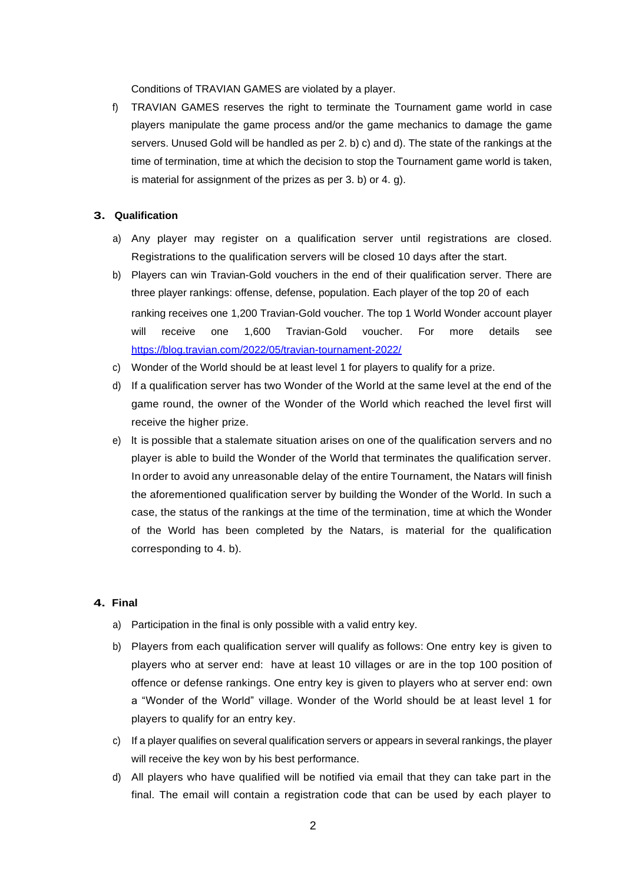Conditions of TRAVIAN GAMES are violated by a player.

f) TRAVIAN GAMES reserves the right to terminate the Tournament game world in case players manipulate the game process and/or the game mechanics to damage the game servers. Unused Gold will be handled as per 2. b) c) and d). The state of the rankings at the time of termination, time at which the decision to stop the Tournament game world is taken, is material for assignment of the prizes as per 3. b) or 4. g).

# **3. Qualification**

- a) Any player may register on a qualification server until registrations are closed. Registrations to the qualification servers will be closed 10 days after the start.
- b) Players can win Travian-Gold vouchers in the end of their qualification server. There are three player rankings: offense, defense, population. Each player of the top 20 of each ranking receives one 1,200 Travian-Gold voucher. The top 1 World Wonder account player will receive one 1,600 Travian-Gold voucher. For more details see https://blog.travian.com/2022/05/travian-tournament-2022/
- c) Wonder of the World should be at least level 1 for players to qualify for a prize.
- d) If a qualification server has two Wonder of the World at the same level at the end of the game round, the owner of the Wonder of the World which reached the level first will receive the higher prize.
- e) lt is possible that a stalemate situation arises on one of the qualification servers and no player is able to build the Wonder of the World that terminates the qualification server. In order to avoid any unreasonable delay of the entire Tournament, the Natars will finish the aforementioned qualification server by building the Wonder of the World. In such a case, the status of the rankings at the time of the termination, time at which the Wonder of the World has been completed by the Natars, is material for the qualification corresponding to 4. b).

### **4. Final**

- a) Participation in the final is only possible with a valid entry key.
- b) Players from each qualification server will qualify as follows: One entry key is given to players who at server end: have at least 10 villages or are in the top 100 position of offence or defense rankings. One entry key is given to players who at server end: own a "Wonder of the World" village. Wonder of the World should be at least level 1 for players to qualify for an entry key.
- c) If a player qualifies on several qualification servers or appears in several rankings, the player will receive the key won by his best performance.
- d) All players who have qualified will be notified via email that they can take part in the final. The email will contain a registration code that can be used by each player to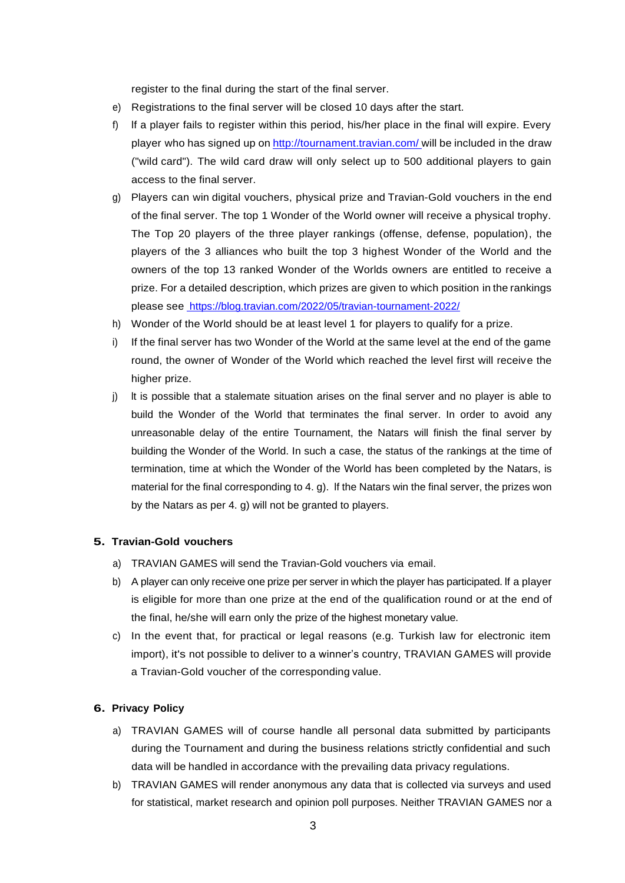register to the final during the start of the final server.

- e) Registrations to the final server will be closed 10 days after the start.
- f) lf a player fails to register within this period, his/her place in the final will expire. Every player who has signed up on <http://tournament.travian.com/> will be included in the draw ("wild card"). The wild card draw will only select up to 500 additional players to gain access to the final server.
- g) Players can win digital vouchers, physical prize and Travian-Gold vouchers in the end of the final server. The top 1 Wonder of the World owner will receive a physical trophy. The Top 20 players of the three player rankings (offense, defense, population), the players of the 3 alliances who built the top 3 highest Wonder of the World and the owners of the top 13 ranked Wonder of the Worlds owners are entitled to receive a prize. For a detailed description, which prizes are given to which position in the rankings please see https://blog.travian.com/2022/05/travian-tournament-2022/
- h) Wonder of the World should be at least level 1 for players to qualify for a prize.
- i) If the final server has two Wonder of the World at the same level at the end of the game round, the owner of Wonder of the World which reached the level first will receive the higher prize.
- j) lt is possible that a stalemate situation arises on the final server and no player is able to build the Wonder of the World that terminates the final server. In order to avoid any unreasonable delay of the entire Tournament, the Natars will finish the final server by building the Wonder of the World. In such a case, the status of the rankings at the time of termination, time at which the Wonder of the World has been completed by the Natars, is material for the final corresponding to 4. g). lf the Natars win the final server, the prizes won by the Natars as per 4. g) will not be granted to players.

### **5. Travian-Gold vouchers**

- a) TRAVIAN GAMES will send the Travian-Gold vouchers via email.
- b) A player can only receive one prize per server in which the player has participated. lf a player is eligible for more than one prize at the end of the qualification round or at the end of the final, he/she will earn only the prize of the highest monetary value.
- c) In the event that, for practical or legal reasons (e.g. Turkish law for electronic item import), it's not possible to deliver to a winner's country, TRAVIAN GAMES will provide a Travian-Gold voucher of the corresponding value.

### **6. Privacy Policy**

- a) TRAVIAN GAMES will of course handle all personal data submitted by participants during the Tournament and during the business relations strictly confidential and such data will be handled in accordance with the prevailing data privacy regulations.
- b) TRAVIAN GAMES will render anonymous any data that is collected via surveys and used for statistical, market research and opinion poll purposes. Neither TRAVIAN GAMES nor a